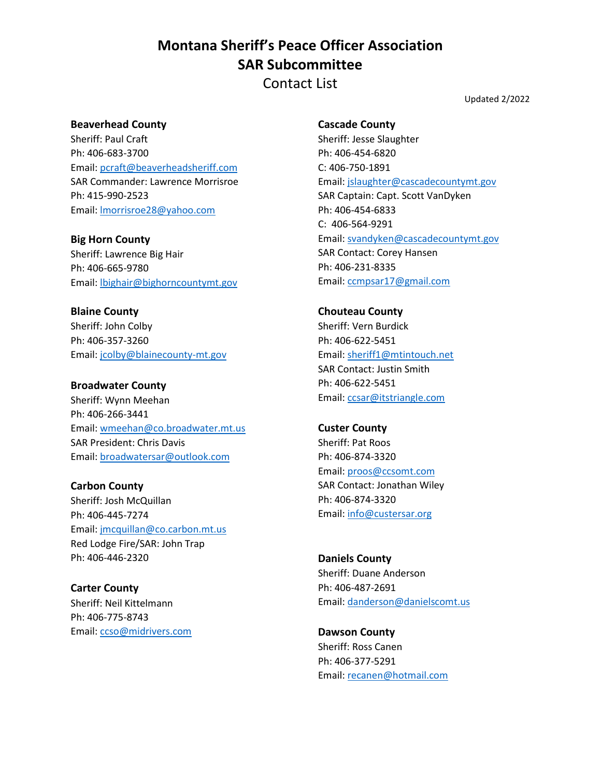Contact List

Updated 2/2022

## **Beaverhead County**

Sheriff: Paul Craft Ph: 406-683-3700 Email: [pcraft@beaverheadsheriff.com](mailto:pcraft@beaverheadsheriff.com) SAR Commander: Lawrence Morrisroe Ph: 415-990-2523 Email: [lmorrisroe28@yahoo.com](mailto:lmorrisroe28@yahoo.com)

**Big Horn County** Sheriff: Lawrence Big Hair

Ph: 406-665-9780 Email: [lbighair@bighorncountymt.gov](mailto:lbighair@bighorncountymt.gov)

**Blaine County** Sheriff: John Colby Ph: 406-357-3260 Email: [jcolby@blainecounty-mt.gov](mailto:jcolby@blainecounty-mt.gov)

### **Broadwater County**

Sheriff: Wynn Meehan Ph: 406-266-3441 Email: [wmeehan@co.broadwater.mt.us](mailto:wmeehan@co.broadwater.mt.us) SAR President: Chris Davis Email: [broadwatersar@outlook.com](mailto:broadwatersar@outlook.com)

**Carbon County** Sheriff: Josh McQuillan Ph: 406-445-7274 Email: [jmcquillan@co.carbon.mt.us](mailto:jmcquillan@co.carbon.mt.us) Red Lodge Fire/SAR: John Trap Ph: 406-446-2320

**Carter County** Sheriff: Neil Kittelmann Ph: 406-775-8743 Email: [ccso@midrivers.com](mailto:ccso@midrivers.com)

### **Cascade County**

Sheriff: Jesse Slaughter Ph: 406-454-6820 C: 406-750-1891 Email: [jslaughter@cascadecountymt.gov](mailto:jslaughter@cascadecountymt.gov) SAR Captain: Capt. Scott VanDyken Ph: 406-454-6833 C: 406-564-9291 Email: [svandyken@cascadecountymt.gov](mailto:svandyken@cascadecountymt.gov) SAR Contact: Corey Hansen Ph: 406-231-8335 Email: [ccmpsar17@gmail.com](mailto:ccmpsar17@gmail.com)

**Chouteau County** Sheriff: Vern Burdick Ph: 406-622-5451 Email: [sheriff1@mtintouch.net](mailto:sheriff1@mtintouch.net) SAR Contact: Justin Smith Ph: 406-622-5451 Email: [ccsar@itstriangle.com](mailto:ccsar@itstriangle.com)

**Custer County** Sheriff: Pat Roos Ph: 406-874-3320 Email: [proos@ccsomt.com](mailto:proos@ccsomt.com) SAR Contact: Jonathan Wiley Ph: 406-874-3320 Email: [info@custersar.org](mailto:info@custersar.org)

**Daniels County** Sheriff: Duane Anderson Ph: 406-487-2691 Email: [danderson@danielscomt.us](mailto:danderson@danielscomt.us)

**Dawson County** Sheriff: Ross Canen Ph: 406-377-5291 Email: [recanen@hotmail.com](mailto:recanen@hotmail.com)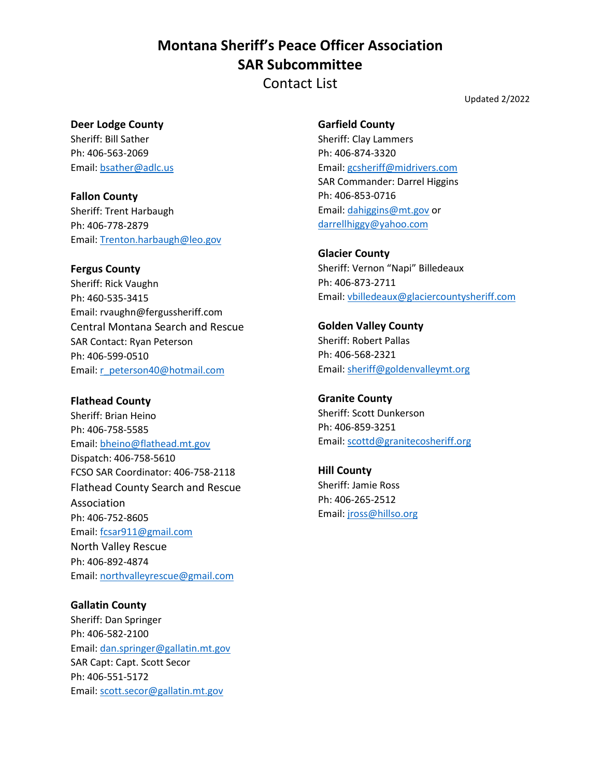Contact List

Updated 2/2022

## **Deer Lodge County**

Sheriff: Bill Sather Ph: 406-563-2069 Email: [bsather@adlc.us](mailto:bsather@adlc.us)

**Fallon County** Sheriff: Trent Harbaugh Ph: 406-778-2879 Email: [Trenton.harbaugh@leo.gov](mailto:Trenton.harbaugh@leo.gov)

## **Fergus County**

Sheriff: Rick Vaughn Ph: 460-535-3415 Email: rvaughn@fergussheriff.com Central Montana Search and Rescue SAR Contact: Ryan Peterson Ph: 406-599-0510 Email: [r\\_peterson40@hotmail.com](mailto:r_peterson40@hotmail.com)

## **Flathead County**

Sheriff: Brian Heino Ph: 406-758-5585 Email: [bheino@flathead.mt.gov](mailto:bheino@flathead.mt.gov) Dispatch: 406-758-5610 FCSO SAR Coordinator: 406-758-2118 Flathead County Search and Rescue Association Ph: 406-752-8605 Email: [fcsar911@gmail.com](mailto:fcsar911@gmail.com) North Valley Rescue Ph: 406-892-4874 Email: [northvalleyrescue@gmail.com](mailto:northvalleyrescue@gmail.com)

## **Gallatin County**

Sheriff: Dan Springer Ph: 406-582-2100 Email: [dan.springer@gallatin.mt.gov](mailto:dan.springer@gallatin.mt.gov) SAR Capt: Capt. Scott Secor Ph: 406-551-5172 Email: [scott.secor@gallatin.mt.gov](mailto:scott.secor@gallatin.mt.gov)

**Garfield County** Sheriff: Clay Lammers Ph: 406-874-3320 Email: [gcsheriff@midrivers.com](mailto:gcsheriff@midrivers.com) SAR Commander: Darrel Higgins Ph: 406-853-0716 Email: [dahiggins@mt.gov](mailto:dahiggins@mt.gov) or [darrellhiggy@yahoo.com](mailto:darrellhiggy@yahoo.com)

## **Glacier County**

Sheriff: Vernon "Napi" Billedeaux Ph: 406-873-2711 Email: [vbilledeaux@glaciercountysheriff.com](mailto:vbilledeaux@glaciercountysheriff.com)

## **Golden Valley County** Sheriff: Robert Pallas Ph: 406-568-2321 Email: [sheriff@goldenvalleymt.org](mailto:sheriff@goldenvalleymt.org)

**Granite County** Sheriff: Scott Dunkerson Ph: 406-859-3251 Email: [scottd@granitecosheriff.org](mailto:scottd@granitecosheriff.org)

**Hill County** Sheriff: Jamie Ross Ph: 406-265-2512 Email: [jross@hillso.org](mailto:jross@hillso.org)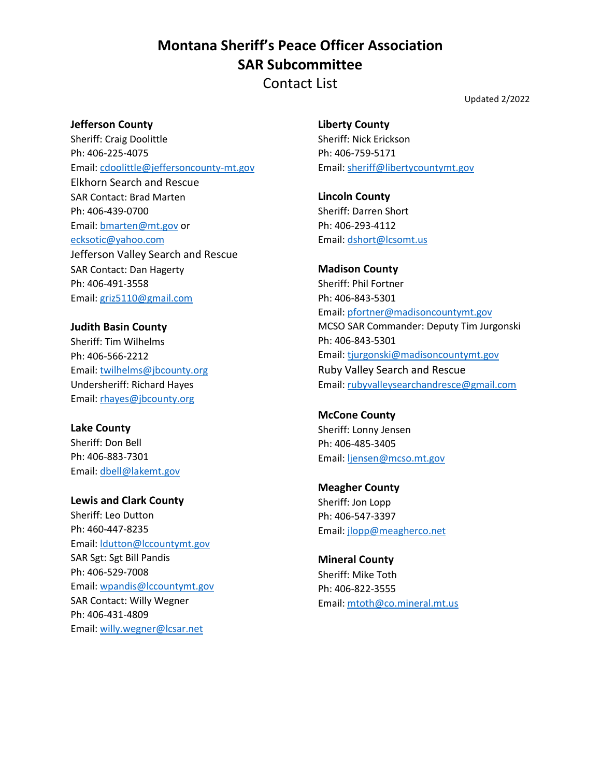Contact List

Updated 2/2022

### **Jefferson County**

Sheriff: Craig Doolittle Ph: 406-225-4075 Email: [cdoolittle@jeffersoncounty-mt.gov](mailto:cdoolittle@jeffersoncounty-mt.gov) Elkhorn Search and Rescue SAR Contact: Brad Marten Ph: 406-439-0700 Email: [bmarten@mt.gov](mailto:bmarten@mt.gov) or [ecksotic@yahoo.com](mailto:ecksotic@yahoo.com) Jefferson Valley Search and Rescue SAR Contact: Dan Hagerty Ph: 406-491-3558 Email: [griz5110@gmail.com](mailto:griz5110@gmail.com)

**Judith Basin County** Sheriff: Tim Wilhelms Ph: 406-566-2212 Email: [twilhelms@jbcounty.org](mailto:twilhelms@jbcounty.org) Undersheriff: Richard Hayes Email: [rhayes@jbcounty.org](mailto:rhayes@jbcounty.org)

**Lake County** Sheriff: Don Bell Ph: 406-883-7301 Email: [dbell@lakemt.gov](mailto:dbell@lakemt.gov)

**Lewis and Clark County** Sheriff: Leo Dutton Ph: 460-447-8235 Email: [ldutton@lccountymt.gov](mailto:ldutton@lccountymt.gov) SAR Sgt: Sgt Bill Pandis Ph: 406-529-7008 Email: [wpandis@lccountymt.gov](mailto:wpandis@lccountymt.gov) SAR Contact: Willy Wegner Ph: 406-431-4809 Email: [willy.wegner@lcsar.net](mailto:willy.wegner@lcsar.net)

**Liberty County** Sheriff: Nick Erickson Ph: 406-759-5171 Email: [sheriff@libertycountymt.gov](mailto:sheriff@libertycountymt.gov)

**Lincoln County** Sheriff: Darren Short Ph: 406-293-4112 Email: [dshort@lcsomt.us](mailto:dshort@lcsomt.us)

**Madison County** Sheriff: Phil Fortner Ph: 406-843-5301 Email: [pfortner@madisoncountymt.gov](mailto:pfortner@madisoncountymt.gov) MCSO SAR Commander: Deputy Tim Jurgonski Ph: 406-843-5301 Email: [tjurgonski@madisoncountymt.gov](mailto:tjurgonski@madisoncountymt.gov) Ruby Valley Search and Rescue Email: [rubyvalleysearchandresce@gmail.com](mailto:rubyvalleysearchandresce@gmail.com)

**McCone County** Sheriff: Lonny Jensen Ph: 406-485-3405 Email: [ljensen@mcso.mt.gov](mailto:ljensen@mcso.mt.gov)

**Meagher County**  Sheriff: Jon Lopp Ph: 406-547-3397 Email: [jlopp@meagherco.net](mailto:jlopp@meagherco.net)

**Mineral County** Sheriff: Mike Toth Ph: 406-822-3555 Email: [mtoth@co.mineral.mt.us](mailto:mtoth@co.mineral.mt.us)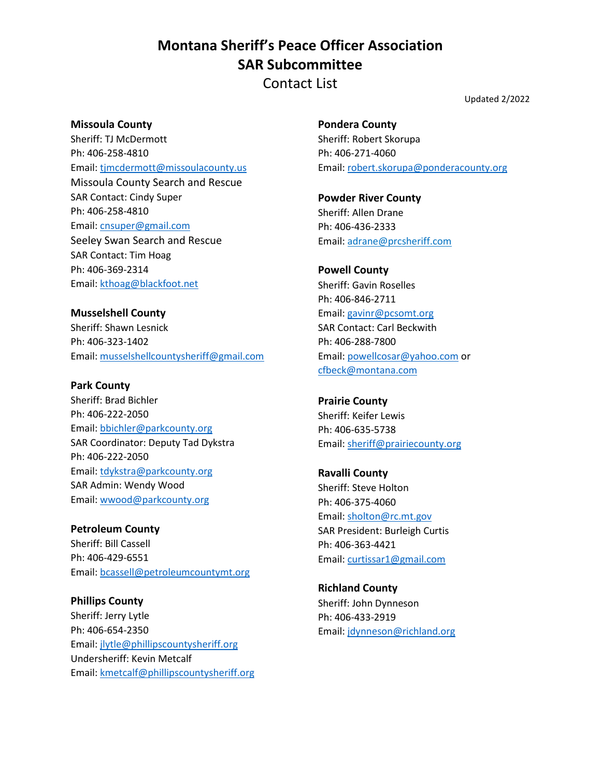Contact List

Updated 2/2022

#### **Missoula County**

Sheriff: TJ McDermott Ph: 406-258-4810 Email: [tjmcdermott@missoulacounty.us](mailto:tjmcdermott@missoulacounty.us) Missoula County Search and Rescue SAR Contact: Cindy Super Ph: 406-258-4810 Email: [cnsuper@gmail.com](mailto:cnsuper@gmail.com) Seeley Swan Search and Rescue SAR Contact: Tim Hoag Ph: 406-369-2314 Email: [kthoag@blackfoot.net](mailto:kthoag@blackfoot.net)

**Musselshell County** Sheriff: Shawn Lesnick Ph: 406-323-1402 Email: [musselshellcountysheriff@gmail.com](mailto:musselshellcountysheriff@gmail.com)

## **Park County** Sheriff: Brad Bichler Ph: 406-222-2050 Email: [bbichler@parkcounty.org](mailto:bbichler@parkcounty.org) SAR Coordinator: Deputy Tad Dykstra Ph: 406-222-2050 Email: [tdykstra@parkcounty.org](mailto:tdykstra@parkcounty.org) SAR Admin: Wendy Wood Email: [wwood@parkcounty.org](mailto:wwood@parkcounty.org)

**Petroleum County** Sheriff: Bill Cassell Ph: 406-429-6551 Email: [bcassell@petroleumcountymt.org](mailto:bcassell@petroleumcountymt.org)

**Phillips County** Sheriff: Jerry Lytle Ph: 406-654-2350 Email: [jlytle@phillipscountysheriff.org](mailto:jlytle@phillipscountysheriff.org) Undersheriff: Kevin Metcalf Email: [kmetcalf@phillipscountysheriff.org](mailto:kmetcalf@phillipscountysheriff.org) **Pondera County** Sheriff: Robert Skorupa Ph: 406-271-4060 Email: [robert.skorupa@ponderacounty.org](mailto:robert.skorupa@ponderacounty.org)

**Powder River County** Sheriff: Allen Drane Ph: 406-436-2333 Email: adrane@prcsheriff.com

**Powell County** Sheriff: Gavin Roselles Ph: 406-846-2711 Email: [gavinr@pcsomt.org](mailto:gavinr@pcsomt.org) SAR Contact: Carl Beckwith Ph: 406-288-7800 Email: [powellcosar@yahoo.com](mailto:powellcosar@yahoo.com) or [cfbeck@montana.com](mailto:cfbeck@montana.com)

**Prairie County** Sheriff: Keifer Lewis Ph: 406-635-5738 Email: [sheriff@prairiecounty.org](mailto:sheriff@prairiecounty.org)

**Ravalli County** Sheriff: Steve Holton Ph: 406-375-4060 Email: [sholton@rc.mt.gov](mailto:sholton@rc.mt.gov) SAR President: Burleigh Curtis Ph: 406-363-4421 Email: [curtissar1@gmail.com](mailto:curtissar1@gmail.com)

**Richland County** Sheriff: John Dynneson Ph: 406-433-2919 Email: [jdynneson@richland.org](mailto:jdynneson@richland.org)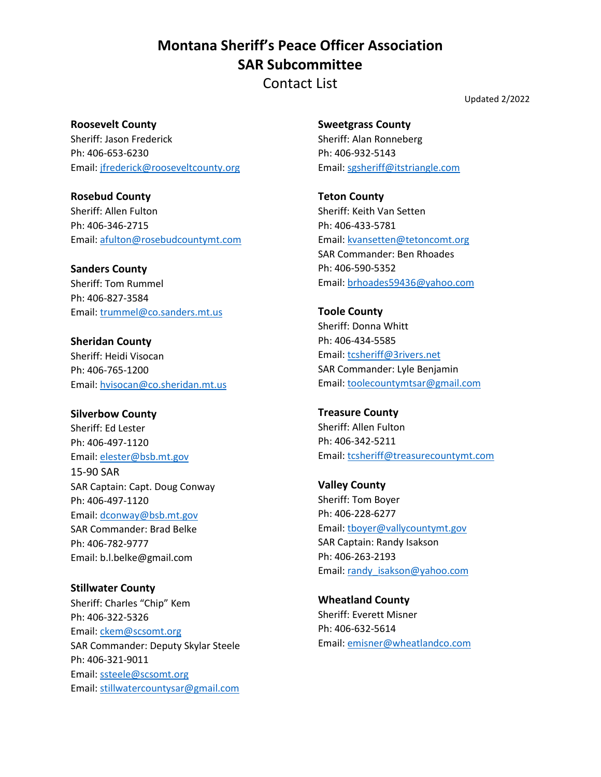Contact List

Updated 2/2022

**Roosevelt County** Sheriff: Jason Frederick Ph: 406-653-6230 Email: [jfrederick@rooseveltcounty.org](mailto:jfrederick@rooseveltcounty.org)

**Rosebud County** Sheriff: Allen Fulton Ph: 406-346-2715 Email: [afulton@rosebudcountymt.com](mailto:afulton@rosebudcountymt.com)

**Sanders County** Sheriff: Tom Rummel Ph: 406-827-3584 Email: [trummel@co.sanders.mt.us](mailto:trummel@co.sanders.mt.us)

**Sheridan County** Sheriff: Heidi Visocan Ph: 406-765-1200 Email: [hvisocan@co.sheridan.mt.us](mailto:hvisocan@co.sheridan.mt.us)

**Silverbow County**  Sheriff: Ed Lester Ph: 406-497-1120 Email: [elester@bsb.mt.gov](mailto:elester@bsb.mt.gov) 15-90 SAR SAR Captain: Capt. Doug Conway Ph: 406-497-1120 Email: [dconway@bsb.mt.gov](mailto:dconway@bsb.mt.gov) SAR Commander: Brad Belke Ph: 406-782-9777 Email: b.l.belke@gmail.com

**Stillwater County** Sheriff: Charles "Chip" Kem Ph: 406-322-5326 Email: [ckem@scsomt.org](mailto:ckem@scsomt.org) SAR Commander: Deputy Skylar Steele Ph: 406-321-9011 Email: [ssteele@scsomt.org](mailto:ssteele@scsomt.org) Email: [stillwatercountysar@gmail.com](mailto:stillwatercountysar@gmail.com)

**Sweetgrass County** Sheriff: Alan Ronneberg Ph: 406-932-5143 Email: [sgsheriff@itstriangle.com](mailto:sgsheriff@itstriangle.com)

**Teton County** Sheriff: Keith Van Setten Ph: 406-433-5781 Email: [kvansetten@tetoncomt.org](mailto:kvansetten@tetoncomt.org) SAR Commander: Ben Rhoades Ph: 406-590-5352 Email: [brhoades59436@yahoo.com](mailto:brhoades59436@yahoo.com)

**Toole County** Sheriff: Donna Whitt Ph: 406-434-5585 Email: [tcsheriff@3rivers.net](mailto:tcsheriff@3rivers.net) SAR Commander: Lyle Benjamin Email: [toolecountymtsar@gmail.com](mailto:toolecountymtsar@gmail.com)

**Treasure County** Sheriff: Allen Fulton Ph: 406-342-5211 Email: [tcsheriff@treasurecountymt.com](mailto:tcsheriff@treasurecountymt.com)

**Valley County** Sheriff: Tom Boyer Ph: 406-228-6277 Email: [tboyer@vallycountymt.gov](mailto:tboyer@vallycountymt.gov) SAR Captain: Randy Isakson Ph: 406-263-2193 Email: [randy\\_isakson@yahoo.com](mailto:randy_isakson@yahoo.com)

**Wheatland County** Sheriff: Everett Misner Ph: 406-632-5614 Email: [emisner@wheatlandco.com](mailto:emisner@wheatlandco.com)